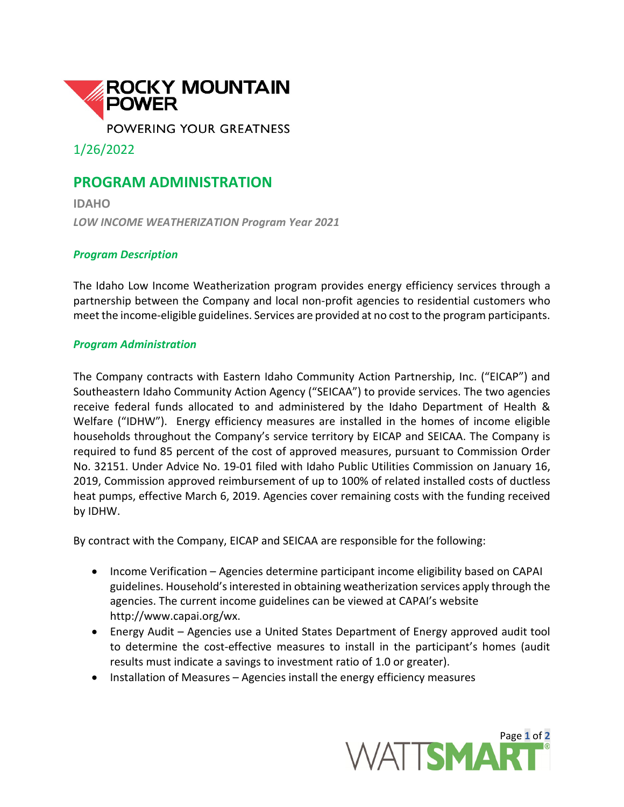

1/26/2022

## **PROGRAM ADMINISTRATION**

**IDAHO** *LOW INCOME WEATHERIZATION Program Year 2021*

## *Program Description*

The Idaho Low Income Weatherization program provides energy efficiency services through a partnership between the Company and local non-profit agencies to residential customers who meet the income-eligible guidelines. Services are provided at no cost to the program participants.

## *Program Administration*

The Company contracts with Eastern Idaho Community Action Partnership, Inc. ("EICAP") and Southeastern Idaho Community Action Agency ("SEICAA") to provide services. The two agencies receive federal funds allocated to and administered by the Idaho Department of Health & Welfare ("IDHW"). Energy efficiency measures are installed in the homes of income eligible households throughout the Company's service territory by EICAP and SEICAA. The Company is required to fund 85 percent of the cost of approved measures, pursuant to Commission Order No. 32151. Under Advice No. 19-01 filed with Idaho Public Utilities Commission on January 16, 2019, Commission approved reimbursement of up to 100% of related installed costs of ductless heat pumps, effective March 6, 2019. Agencies cover remaining costs with the funding received by IDHW.

By contract with the Company, EICAP and SEICAA are responsible for the following:

- Income Verification Agencies determine participant income eligibility based on CAPAI guidelines. Household's interested in obtaining weatherization services apply through the agencies. The current income guidelines can be viewed at CAPAI's website http://www.capai.org/wx.
- Energy Audit Agencies use a United States Department of Energy approved audit tool to determine the cost-effective measures to install in the participant's homes (audit results must indicate a savings to investment ratio of 1.0 or greater).
- Installation of Measures Agencies install the energy efficiency measures